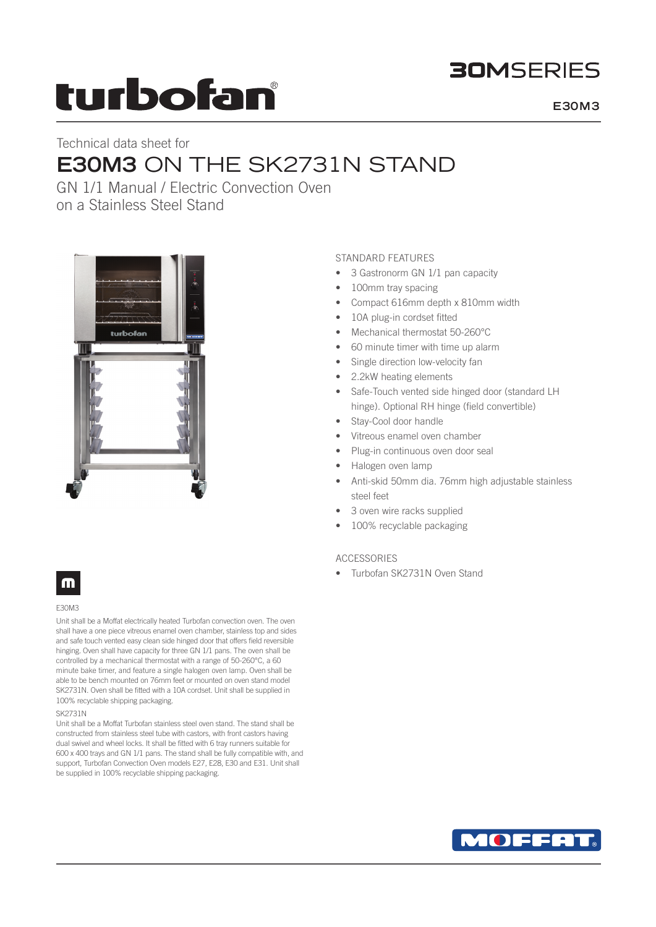# **BOMSFRIFS**

# turbofan

**E30M3**

# Technical data sheet for **E30M3** ON THE SK2731N STAND

GN 1/1 Manual / Electric Convection Oven on a Stainless Steel Stand



# STANDARD FEATURES

- 3 Gastronorm GN 1/1 pan capacity
- 100mm tray spacing
- Compact 616mm depth x 810mm width
- 10A plug-in cordset fitted
- Mechanical thermostat 50-260°C
- 60 minute timer with time up alarm
- Single direction low-velocity fan
- 2.2kW heating elements
- Safe-Touch vented side hinged door (standard LH hinge). Optional RH hinge (field convertible)
- Stay-Cool door handle
- Vitreous enamel oven chamber
- Plug-in continuous oven door seal
- Halogen oven lamp
- Anti-skid 50mm dia. 76mm high adjustable stainless steel feet
- 3 oven wire racks supplied
- 100% recyclable packaging

## ACCESSORIES

• Turbofan SK2731N Oven Stand

# m

### E30M3

Unit shall be a Moffat electrically heated Turbofan convection oven. The oven shall have a one piece vitreous enamel oven chamber, stainless top and sides and safe touch vented easy clean side hinged door that offers field reversible hinging. Oven shall have capacity for three GN 1/1 pans. The oven shall be controlled by a mechanical thermostat with a range of 50-260°C, a 60 minute bake timer, and feature a single halogen oven lamp. Oven shall be able to be bench mounted on 76mm feet or mounted on oven stand model SK2731N. Oven shall be fitted with a 10A cordset. Unit shall be supplied in 100% recyclable shipping packaging.

### SK2731N

Unit shall be a Moffat Turbofan stainless steel oven stand. The stand shall be constructed from stainless steel tube with castors, with front castors having dual swivel and wheel locks. It shall be fitted with 6 tray runners suitable for 600 x 400 trays and GN 1/1 pans. The stand shall be fully compatible with, and support, Turbofan Convection Oven models E27, E28, E30 and E31. Unit shall be supplied in 100% recyclable shipping packaging.